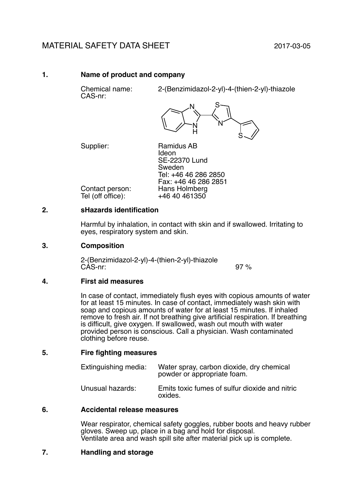# MATERIAL SAFETY DATA SHEET 2017-03-05

## **1. Name of product and company**

CAS-nr:

Chemical name: 2-(Benzimidazol-2-yl)-4-(thien-2-yl)-thiazole



Supplier: Ramidus AB Ideon SE-22370 Lund Sweden Tel: +46 46 286 2850 Fax: +46 46 286 2851

Contact person: Hans Holmberg<br>Tel (off office): +46 40 461350 Tel (off office):

## **2. sHazards identification**

Harmful by inhalation, in contact with skin and if swallowed. Irritating to eyes, respiratory system and skin.

## **3. Composition**

2-(Benzimidazol-2-yl)-4-(thien-2-yl)-thiazole CAS-nr: 97 %

#### **4. First aid measures**

In case of contact, immediately flush eyes with copious amounts of water for at least 15 minutes. In case of contact, immediately wash skin with soap and copious amounts of water for at least 15 minutes. If inhaled remove to fresh air. If not breathing give artificial respiration. If breathing is difficult, give oxygen. If swallowed, wash out mouth with water provided person is conscious. Call a physician. Wash contaminated clothing before reuse.

#### **5. Fire fighting measures**

| Extinguishing media: | Water spray, carbon dioxide, dry chemical<br>powder or appropriate foam. |
|----------------------|--------------------------------------------------------------------------|
| Unusual hazards:     | Emits toxic fumes of sulfur dioxide and nitric<br>oxides.                |

#### **6. Accidental release measures**

Wear respirator, chemical safety goggles, rubber boots and heavy rubber gloves. Sweep up, place in a bag and hold for disposal. Ventilate area and wash spill site after material pick up is complete.

# **7. Handling and storage**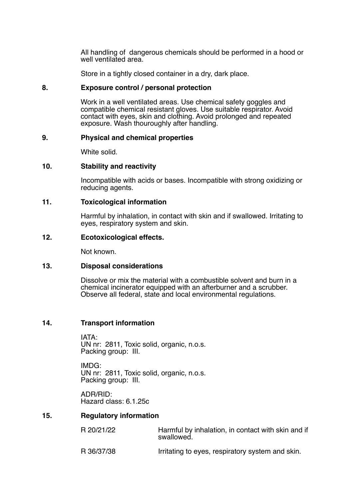All handling of dangerous chemicals should be performed in a hood or well ventilated area.

Store in a tightly closed container in a dry, dark place.

#### **8. Exposure control / personal protection**

Work in a well ventilated areas. Use chemical safety goggles and compatible chemical resistant gloves. Use suitable respirator. Avoid contact with eyes, skin and clothing. Avoid prolonged and repeated exposure. Wash thouroughly after handling.

#### **9. Physical and chemical properties**

White solid.

#### **10. Stability and reactivity**

Incompatible with acids or bases. Incompatible with strong oxidizing or reducing agents.

#### **11. Toxicological information**

Harmful by inhalation, in contact with skin and if swallowed. Irritating to eyes, respiratory system and skin.

#### **12. Ecotoxicological effects.**

Not known.

#### **13. Disposal considerations**

Dissolve or mix the material with a combustible solvent and burn in a chemical incinerator equipped with an afterburner and a scrubber. Observe all federal, state and local environmental regulations.

#### **14. Transport information**

IATA: UN nr: 2811, Toxic solid, organic, n.o.s. Packing group: III.

IMDG: UN nr: 2811, Toxic solid, organic, n.o.s. Packing group: III.

ADR/RID: Hazard class: 6.1.25c

## **15. Regulatory information**

| R 20/21/22 | Harmful by inhalation, in contact with skin and if<br>swallowed. |  |
|------------|------------------------------------------------------------------|--|
|            |                                                                  |  |

R 36/37/38 Irritating to eyes, respiratory system and skin.